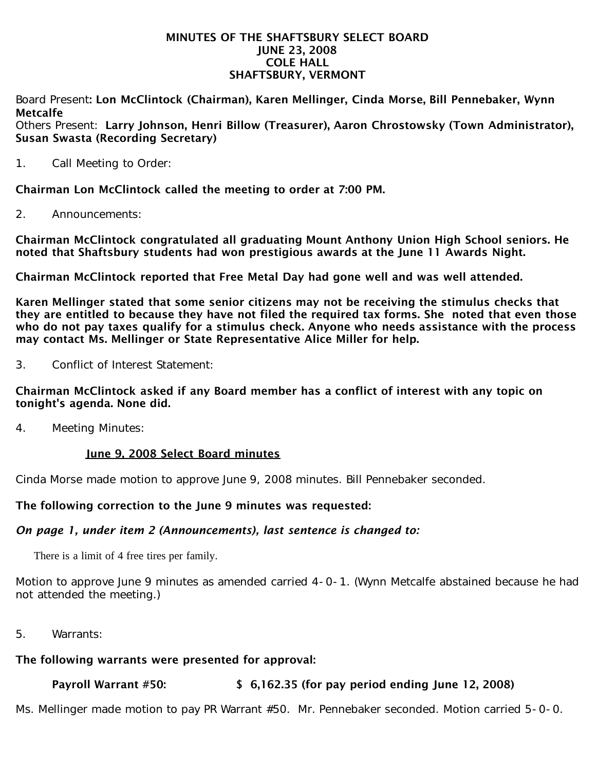#### MINUTES OF THE SHAFTSBURY SELECT BOARD JUNE 23, 2008 COLE HALL SHAFTSBURY, VERMONT

Board Present: Lon McClintock (Chairman), Karen Mellinger, Cinda Morse, Bill Pennebaker, Wynn Metcalfe

Others Present: Larry Johnson, Henri Billow (Treasurer), Aaron Chrostowsky (Town Administrator), Susan Swasta (Recording Secretary)

1. Call Meeting to Order:

Chairman Lon McClintock called the meeting to order at 7:00 PM.

2. Announcements:

Chairman McClintock congratulated all graduating Mount Anthony Union High School seniors. He noted that Shaftsbury students had won prestigious awards at the June 11 Awards Night.

Chairman McClintock reported that Free Metal Day had gone well and was well attended.

Karen Mellinger stated that some senior citizens may not be receiving the stimulus checks that they are entitled to because they have not filed the required tax forms. She noted that even those who do not pay taxes qualify for a stimulus check. Anyone who needs assistance with the process may contact Ms. Mellinger or State Representative Alice Miller for help.

3. Conflict of Interest Statement:

# Chairman McClintock asked if any Board member has a conflict of interest with any topic on tonight's agenda. None did.

4. Meeting Minutes:

# June 9, 2008 Select Board minutes

Cinda Morse made motion to approve June 9, 2008 minutes. Bill Pennebaker seconded.

# The following correction to the June 9 minutes was requested:

# *On page 1, under item 2 (Announcements), last sentence is changed to:*

There is a limit of 4 free tires per family.

Motion to approve June 9 minutes as amended carried 4-0-1. (Wynn Metcalfe abstained because he had not attended the meeting.)

5. Warrants:

# The following warrants were presented for approval:

# Payroll Warrant #50: \$ 6,162.35 (for pay period ending June 12, 2008)

Ms. Mellinger made motion to pay PR Warrant #50. Mr. Pennebaker seconded. Motion carried 5-0-0.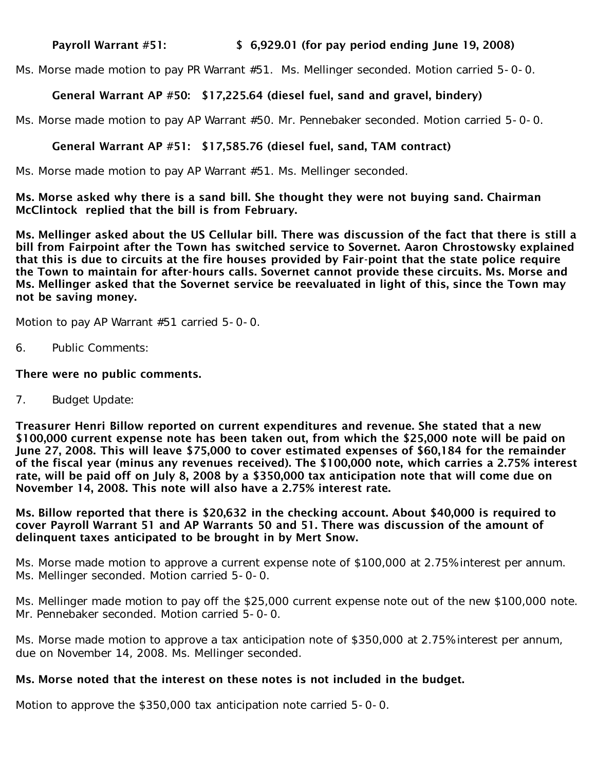#### Payroll Warrant #51: \$ 6,929.01 (for pay period ending June 19, 2008)

Ms. Morse made motion to pay PR Warrant #51. Ms. Mellinger seconded. Motion carried 5-0-0.

# General Warrant AP #50: \$17,225.64 (diesel fuel, sand and gravel, bindery)

Ms. Morse made motion to pay AP Warrant #50. Mr. Pennebaker seconded. Motion carried 5-0-0.

## General Warrant AP #51: \$17,585.76 (diesel fuel, sand, TAM contract)

Ms. Morse made motion to pay AP Warrant #51. Ms. Mellinger seconded.

Ms. Morse asked why there is a sand bill. She thought they were not buying sand. Chairman McClintock replied that the bill is from February.

Ms. Mellinger asked about the US Cellular bill. There was discussion of the fact that there is still a bill from Fairpoint after the Town has switched service to Sovernet. Aaron Chrostowsky explained that this is due to circuits at the fire houses provided by Fair-point that the state police require the Town to maintain for after-hours calls. Sovernet cannot provide these circuits. Ms. Morse and Ms. Mellinger asked that the Sovernet service be reevaluated in light of this, since the Town may not be saving money.

Motion to pay AP Warrant #51 carried 5-0-0.

6. Public Comments:

#### There were no public comments.

7. Budget Update:

Treasurer Henri Billow reported on current expenditures and revenue. She stated that a new \$100,000 current expense note has been taken out, from which the \$25,000 note will be paid on June 27, 2008. This will leave \$75,000 to cover estimated expenses of \$60,184 for the remainder of the fiscal year (minus any revenues received). The \$100,000 note, which carries a 2.75% interest rate, will be paid off on July 8, 2008 by a \$350,000 tax anticipation note that will come due on November 14, 2008. This note will also have a 2.75% interest rate.

Ms. Billow reported that there is \$20,632 in the checking account. About \$40,000 is required to cover Payroll Warrant 51 and AP Warrants 50 and 51. There was discussion of the amount of delinquent taxes anticipated to be brought in by Mert Snow.

Ms. Morse made motion to approve a current expense note of \$100,000 at 2.75% interest per annum. Ms. Mellinger seconded. Motion carried 5-0-0.

Ms. Mellinger made motion to pay off the \$25,000 current expense note out of the new \$100,000 note. Mr. Pennebaker seconded. Motion carried 5-0-0.

Ms. Morse made motion to approve a tax anticipation note of \$350,000 at 2.75% interest per annum, due on November 14, 2008. Ms. Mellinger seconded.

# Ms. Morse noted that the interest on these notes is not included in the budget.

Motion to approve the \$350,000 tax anticipation note carried 5-0-0.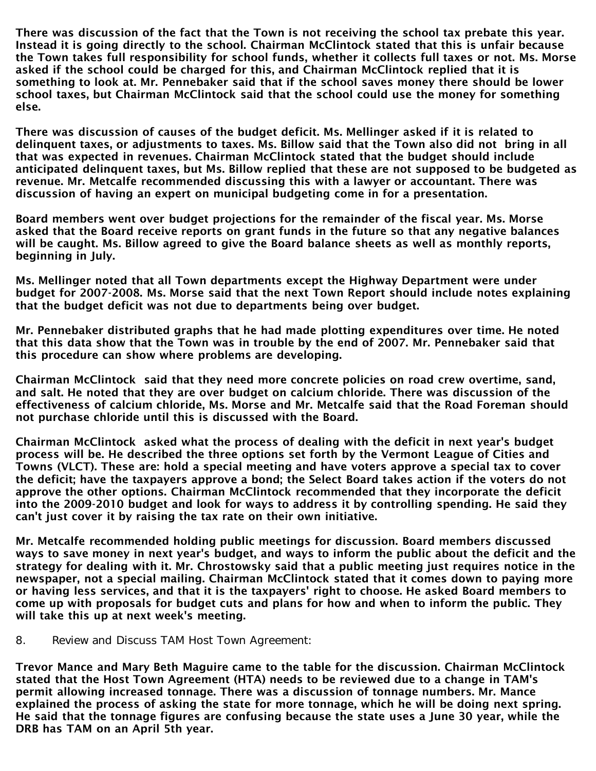There was discussion of the fact that the Town is not receiving the school tax prebate this year. Instead it is going directly to the school. Chairman McClintock stated that this is unfair because the Town takes full responsibility for school funds, whether it collects full taxes or not. Ms. Morse asked if the school could be charged for this, and Chairman McClintock replied that it is something to look at. Mr. Pennebaker said that if the school saves money there should be lower school taxes, but Chairman McClintock said that the school could use the money for something else.

There was discussion of causes of the budget deficit. Ms. Mellinger asked if it is related to delinquent taxes, or adjustments to taxes. Ms. Billow said that the Town also did not bring in all that was expected in revenues. Chairman McClintock stated that the budget should include anticipated delinquent taxes, but Ms. Billow replied that these are not supposed to be budgeted as revenue. Mr. Metcalfe recommended discussing this with a lawyer or accountant. There was discussion of having an expert on municipal budgeting come in for a presentation.

Board members went over budget projections for the remainder of the fiscal year. Ms. Morse asked that the Board receive reports on grant funds in the future so that any negative balances will be caught. Ms. Billow agreed to give the Board balance sheets as well as monthly reports, beginning in July.

Ms. Mellinger noted that all Town departments except the Highway Department were under budget for 2007-2008. Ms. Morse said that the next Town Report should include notes explaining that the budget deficit was not due to departments being over budget.

Mr. Pennebaker distributed graphs that he had made plotting expenditures over time. He noted that this data show that the Town was in trouble by the end of 2007. Mr. Pennebaker said that this procedure can show where problems are developing.

Chairman McClintock said that they need more concrete policies on road crew overtime, sand, and salt. He noted that they are over budget on calcium chloride. There was discussion of the effectiveness of calcium chloride, Ms. Morse and Mr. Metcalfe said that the Road Foreman should not purchase chloride until this is discussed with the Board.

Chairman McClintock asked what the process of dealing with the deficit in next year's budget process will be. He described the three options set forth by the Vermont League of Cities and Towns (VLCT). These are: hold a special meeting and have voters approve a special tax to cover the deficit; have the taxpayers approve a bond; the Select Board takes action if the voters do not approve the other options. Chairman McClintock recommended that they incorporate the deficit into the 2009-2010 budget and look for ways to address it by controlling spending. He said they can't just cover it by raising the tax rate on their own initiative.

Mr. Metcalfe recommended holding public meetings for discussion. Board members discussed ways to save money in next year's budget, and ways to inform the public about the deficit and the strategy for dealing with it. Mr. Chrostowsky said that a public meeting just requires notice in the newspaper, not a special mailing. Chairman McClintock stated that it comes down to paying more or having less services, and that it is the taxpayers' right to choose. He asked Board members to come up with proposals for budget cuts and plans for how and when to inform the public. They will take this up at next week's meeting.

8. Review and Discuss TAM Host Town Agreement:

Trevor Mance and Mary Beth Maguire came to the table for the discussion. Chairman McClintock stated that the Host Town Agreement (HTA) needs to be reviewed due to a change in TAM's permit allowing increased tonnage. There was a discussion of tonnage numbers. Mr. Mance explained the process of asking the state for more tonnage, which he will be doing next spring. He said that the tonnage figures are confusing because the state uses a June 30 year, while the DRB has TAM on an April 5th year.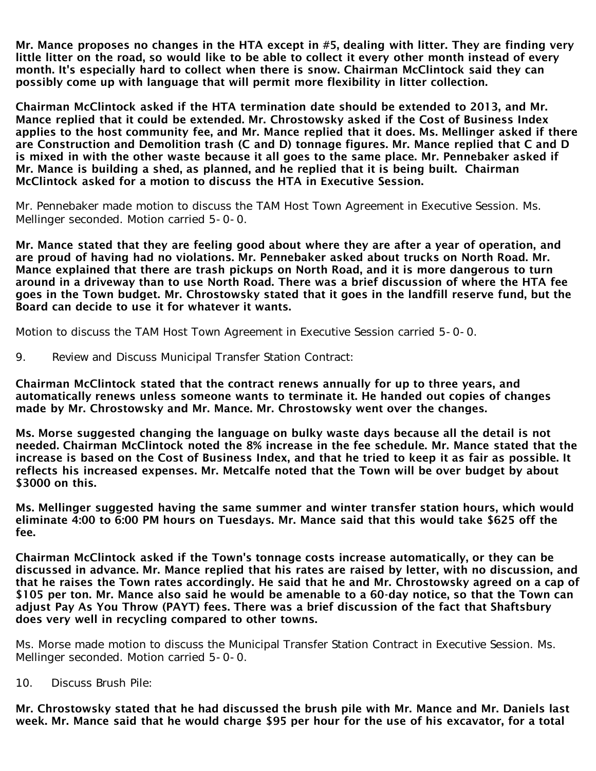Mr. Mance proposes no changes in the HTA except in #5, dealing with litter. They are finding very little litter on the road, so would like to be able to collect it every other month instead of every month. It's especially hard to collect when there is snow. Chairman McClintock said they can possibly come up with language that will permit more flexibility in litter collection.

Chairman McClintock asked if the HTA termination date should be extended to 2013, and Mr. Mance replied that it could be extended. Mr. Chrostowsky asked if the Cost of Business Index applies to the host community fee, and Mr. Mance replied that it does. Ms. Mellinger asked if there are Construction and Demolition trash (C and D) tonnage figures. Mr. Mance replied that C and D is mixed in with the other waste because it all goes to the same place. Mr. Pennebaker asked if Mr. Mance is building a shed, as planned, and he replied that it is being built. Chairman McClintock asked for a motion to discuss the HTA in Executive Session.

Mr. Pennebaker made motion to discuss the TAM Host Town Agreement in Executive Session. Ms. Mellinger seconded. Motion carried 5-0-0.

Mr. Mance stated that they are feeling good about where they are after a year of operation, and are proud of having had no violations. Mr. Pennebaker asked about trucks on North Road. Mr. Mance explained that there are trash pickups on North Road, and it is more dangerous to turn around in a driveway than to use North Road. There was a brief discussion of where the HTA fee goes in the Town budget. Mr. Chrostowsky stated that it goes in the landfill reserve fund, but the Board can decide to use it for whatever it wants.

Motion to discuss the TAM Host Town Agreement in Executive Session carried 5-0-0.

9. Review and Discuss Municipal Transfer Station Contract:

Chairman McClintock stated that the contract renews annually for up to three years, and automatically renews unless someone wants to terminate it. He handed out copies of changes made by Mr. Chrostowsky and Mr. Mance. Mr. Chrostowsky went over the changes.

Ms. Morse suggested changing the language on bulky waste days because all the detail is not needed. Chairman McClintock noted the 8% increase in the fee schedule. Mr. Mance stated that the increase is based on the Cost of Business Index, and that he tried to keep it as fair as possible. It reflects his increased expenses. Mr. Metcalfe noted that the Town will be over budget by about \$3000 on this.

Ms. Mellinger suggested having the same summer and winter transfer station hours, which would eliminate 4:00 to 6:00 PM hours on Tuesdays. Mr. Mance said that this would take \$625 off the fee.

Chairman McClintock asked if the Town's tonnage costs increase automatically, or they can be discussed in advance. Mr. Mance replied that his rates are raised by letter, with no discussion, and that he raises the Town rates accordingly. He said that he and Mr. Chrostowsky agreed on a cap of \$105 per ton. Mr. Mance also said he would be amenable to a 60-day notice, so that the Town can adjust Pay As You Throw (PAYT) fees. There was a brief discussion of the fact that Shaftsbury does very well in recycling compared to other towns.

Ms. Morse made motion to discuss the Municipal Transfer Station Contract in Executive Session. Ms. Mellinger seconded. Motion carried 5-0-0.

10. Discuss Brush Pile:

Mr. Chrostowsky stated that he had discussed the brush pile with Mr. Mance and Mr. Daniels last week. Mr. Mance said that he would charge \$95 per hour for the use of his excavator, for a total